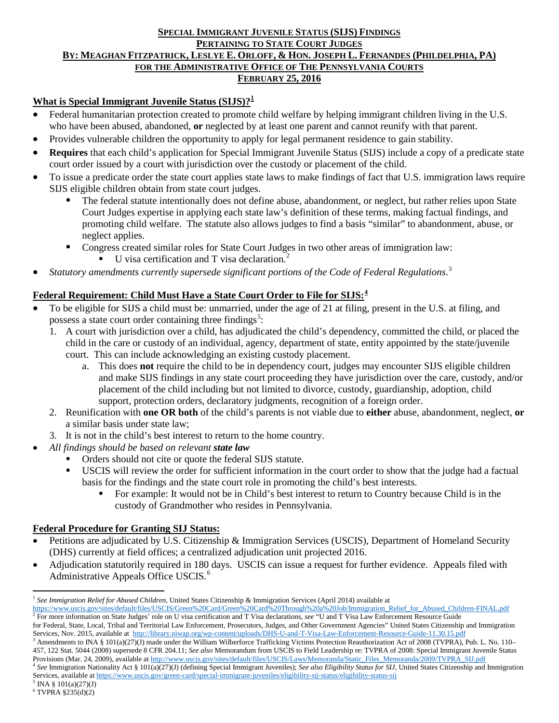#### **SPECIAL IMMIGRANT JUVENILE STATUS (SIJS) FINDINGS PERTAINING TO STATE COURT JUDGES BY: MEAGHAN FITZPATRICK, LESLYE E. ORLOFF, & HON. JOSEPH L. FERNANDES (PHILDELPHIA, PA) FOR THE ADMINISTRATIVE OFFICE OF THE PENNSYLVANIA COURTS FEBRUARY 25, 2016**

### **What is Special Immigrant Juvenile Status (SIJS)?[1](#page-0-0)**

- Federal humanitarian protection created to promote child welfare by helping immigrant children living in the U.S. who have been abused, abandoned, **or** neglected by at least one parent and cannot reunify with that parent.
- Provides vulnerable children the opportunity to apply for legal permanent residence to gain stability.
- **Requires** that each child's application for Special Immigrant Juvenile Status (SIJS) include a copy of a predicate state court order issued by a court with jurisdiction over the custody or placement of the child.
- To issue a predicate order the state court applies state laws to make findings of fact that U.S. immigration laws require SIJS eligible children obtain from state court judges.
	- The federal statute intentionally does not define abuse, abandonment, or neglect, but rather relies upon State Court Judges expertise in applying each state law's definition of these terms, making factual findings, and promoting child welfare. The statute also allows judges to find a basis "similar" to abandonment, abuse, or neglect applies.
	- Congress created similar roles for State Court Judges in two other areas of immigration law:  $\bullet$  U visa certification and T visa declaration.<sup>[2](#page-0-1)</sup>
- *Statutory amendments currently supersede significant portions of the Code of Federal Regulations*. [3](#page-0-2)

### **Federal Requirement: Child Must Have a State Court Order to File for SIJS: [4](#page-0-3)**

- To be eligible for SIJS a child must be: unmarried, under the age of 21 at filing, present in the U.S. at filing, and possess a state court order containing three findings<sup>[5](#page-0-4)</sup>:
	- 1. A court with jurisdiction over a child, has adjudicated the child's dependency, committed the child, or placed the child in the care or custody of an individual, agency, department of state, entity appointed by the state/juvenile court. This can include acknowledging an existing custody placement.
		- a. This does **not** require the child to be in dependency court, judges may encounter SIJS eligible children and make SIJS findings in any state court proceeding they have jurisdiction over the care, custody, and/or placement of the child including but not limited to divorce, custody, guardianship, adoption, child support, protection orders, declaratory judgments, recognition of a foreign order.
	- 2. Reunification with **one OR both** of the child's parents is not viable due to **either** abuse, abandonment, neglect, **or** a similar basis under state law;
	- 3. It is not in the child's best interest to return to the home country.
- *All findings should be based on relevant state law*
	- Orders should not cite or quote the federal SIJS statute.
	- USCIS will review the order for sufficient information in the court order to show that the judge had a factual basis for the findings and the state court role in promoting the child's best interests.
		- For example: It would not be in Child's best interest to return to Country because Child is in the custody of Grandmother who resides in Pennsylvania.

#### **Federal Procedure for Granting SIJ Status:**

- Petitions are adjudicated by U.S. Citizenship & Immigration Services (USCIS), Department of Homeland Security (DHS) currently at field offices; a centralized adjudication unit projected 2016.
- Adjudication statutorily required in 180 days. USCIS can issue a request for further evidence. Appeals filed with Administrative Appeals Office USCIS.<sup>[6](#page-0-5)</sup>

 $\overline{\phantom{a}}$ 

<span id="page-0-0"></span><sup>&</sup>lt;sup>1</sup> See *Immigration Relief for Abused Children*, United States Citizenship & Immigration Services (April 2014) available at https://www.uscis.gov/sites/default/files/USCIS/Green%20Card/Green%20Card%20Through%20a%20Job/Imm  $\frac{1}{2}$  For more information on State Judges' role on U visa certification and T Visa declarations, see "U and T Visa Law Enforcement Resource Guide

<span id="page-0-1"></span>for Federal, State, Local, Tribal and Territorial Law Enforcement, Prosecutors, Judges, and Other Government Agencies" United States Citizenship and Immigration Services, Nov. 2015, available at http://library.niwap.org/wp <sup>3</sup> Amendments to INA § 101(a)(27)(J) made under the William Wilberforce Trafficking Victims Protection Reauthorization Act of 2008 (TVPRA), Pub. L. No. 110–

<span id="page-0-2"></span><sup>457, 122</sup> Stat. 5044 (2008) supersede 8 CFR 204.11; *See also* Memorandum from USCIS to Field Leadership re: TVPRA of 2008: Special Immigrant Juvenile Status

<span id="page-0-3"></span><sup>&</sup>lt;sup>4</sup> See Immigration Nationality Act § 101(a)(27)(J) (defining Special Immigrant Juveniles); See also Eligibility Status for SIJ, United States Citizenship and Immigration Services, available a[t https://www.uscis.gov/green-card/special-immigrant-juveniles/eligibility-sij-status/eligibility-status-sij](https://www.uscis.gov/green-card/special-immigrant-juveniles/eligibility-sij-status/eligibility-status-sij)

 $5$  INA § 101(a)(27)(J)

<span id="page-0-5"></span><span id="page-0-4"></span> $6$  TVPRA  $$235(d)(2)$